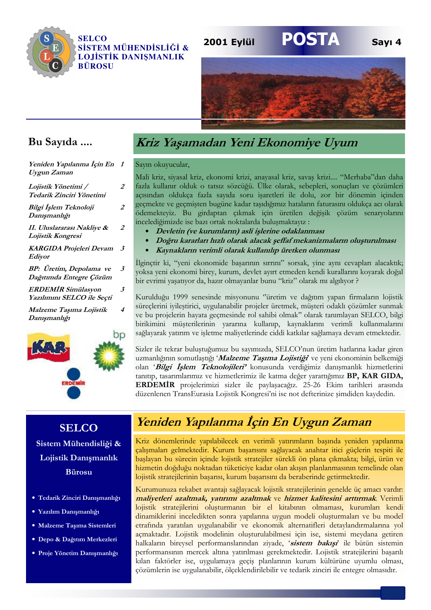

#### **SELCO** SİSTEM MÜHENDİSLİĞİ & **LOJİSTİK DANISMANLIK BÜROSU**

#### 2001 Eylül



**POSTA** 

Sayı 4

### Bu Sayıda ....

| Yeniden Yapılanma Için En<br>Uygun Zaman           | - 7 |
|----------------------------------------------------|-----|
| Lojistik Yönetimi /<br>Tedarik Zinciri Yönetimi    | 2   |
| Bilgi İşlem Teknoloji<br>Danışmanlığı              | 2   |
| II. Uluslararası Nakliye &<br>Lojistik Kongresi    | 2   |
| <b>KARGIDA Projeleri Devam</b><br>Ediyor           | 3   |
| BP: Üretim, Depolama ve<br>Dağıtımda Entegre Çözüm | 3   |
| ERDEMİR Simülasyon<br>Yazılımını SELCO ile Seçti   | 3   |
| Malzeme Taşıma Lojistik<br>Danışmanlığı            | 4   |
|                                                    |     |
| ſ.                                                 |     |

# Kriz Yaşamadan Yeni Ekonomiye Uyum

#### Sayın okuyucular,

Mali kriz, siyasal kriz, ekonomi krizi, anayasal kriz, savaş krizi.... "Merhaba"dan daha fazla kullanır olduk o tatsız sözcüğü. Ülke olarak, sebepleri, sonuçları ve çözümleri açısından oldukça fazla sayıda soru işaretleri ile dolu, zor bir dönemin içinden geçmekte ve geçmişten bugüne kadar taşıdığımız hataların faturasını oldukca acı olarak ödemekteyiz. Bu girdaptan çıkmak için üretilen değişik çözüm senaryolarını incelediğimizde ise bazı ortak noktalarda buluşmaktayız:

- Devletin (ve kurumların) asli işlerine odaklanması
- Doğru kararları hızlı olarak alacak şeffaf mekanizmaların oluşturulması
- Kaynakların verimli olarak kullanılıp üretken olunması

İlginçtir ki, "yeni ekonomide başarının sırrını" sorsak, yine aynı cevapları alacaktık; yoksa yeni ekonomi birey, kurum, devlet ayırt etmeden kendi kurallarını koyarak doğal bir evrimi yaşatıyor da, hazır olmayanlar bunu "kriz" olarak mı algılıyor ?

Kurulduğu 1999 senesinde misyonunu "üretim ve dağıtım yapan firmaların lojistik süreçlerini iyileştirici, uygulanabilir projeler üretmek, müşteri odaklı çözümler sunmak ve bu projelerin hayata geçmesinde rol sahibi olmak" olarak tanımlayan SELCO, bilgi birikimini müşterilerinin yararına kullanıp, kaynaklarını verimli kullanmalarını sağlayarak yatırım ve işletme maliyetlerinde ciddi katkılar sağlamaya devam etmektedir.

Sizler ile tekrar buluştuğumuz bu sayımızda, SELCO'nun üretim hatlarına kadar giren uzmanlığının somutlaştığı 'Malzeme Taşıma Lojistiği' ve yeni ekonominin belkemiği olan 'Bilgi İşlem Teknolojileri' konusunda verdiğimiz danışmanlık hizmetlerini tanıtıp, tasarımlarımız ve hizmetlerimiz ile katma değer yarattığımız BP, KAR GIDA, ERDEMIR projelerimizi sizler ile paylaşacağız. 25-26 Ekim tarihleri arasında düzenlenen TransEurasia Lojistik Kongresi'ni ise not defterinize simdiden kaydedin.

### **SELCO** Sistem Mühendisliği & Lojistik Danışmanlık **Bürosu**

- · Tedarik Zinciri Danışmanlığı
- · Yazılım Danışmanlığı
- · Malzeme Taşıma Sistemleri
- · Depo & Dağıtım Merkezleri
- · Proje Yönetim Danısmanlığı

# Yeniden Yapılanma İçin En Uygun Zaman

Kriz dönemlerinde yapılabilecek en verimli yatırımların başında yeniden yapılanma çalışmaları gelmektedir. Kurum başarısını sağlayacak anahtar itici güçlerin tespiti ile başlayan bu sürecin içinde lojistik stratejiler sürekli ön plana çıkmakta; bilgi, ürün ve hizmetin doğduğu noktadan tüketiciye kadar olan akışın planlanmasının temelinde olan lojistik stratejilerinin başarısı, kurum başarısını da beraberinde getirmektedir.

Kurumunuza rekabet avantajı sağlayacak lojistik stratejilerinin genelde üç amacı vardır: maliyetleri azaltmak, yatırımı azaltmak ve hizmet kalitesini arttırmak. Verimli lojistik stratejilerini oluşturmanın bir el kitabının olmaması, kurumları kendi dinamiklerini inceledikten sonra yapılarına uygun modeli oluşturmaları ve bu model etrafında yaratılan uygulanabilir ve ekonomik alternatifleri detaylandırmalarına yol açmaktadır. Lojistik modelinin oluşturulabilmesi için ise, sistemi meydana getiren halkaların bireysel performanslarından ziyade, 'sistem bakışı' ile bütün sistemin performansının mercek altına yatırılması gerekmektedir. Lojistik stratejilerini başarılı kılan faktörler ise, uygulamaya geçiş planlarının kurum kültürüne uyumlu olması, çözümlerin ise uygulanabilir, ölçeklendirilebilir ve tedarik zinciri ile entegre olmasıdır.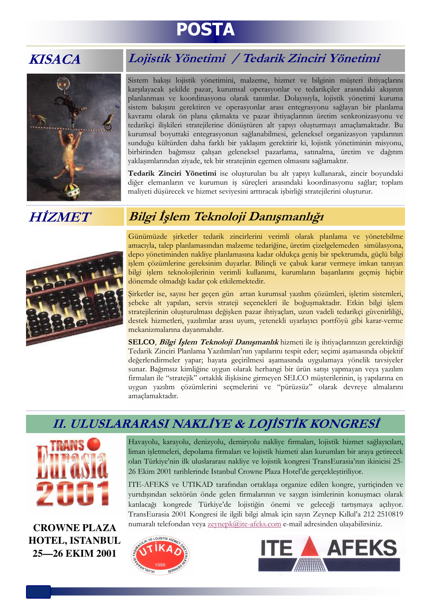# **POSTA**

# **KISACA**



# Lojistik Yönetimi / Tedarik Zinciri Yönetimi

Sistem bakışı lojistik yönetimini, malzeme, hizmet ve bilginin müşteri ihtiyaçlarını karşılayacak şekilde pazar, kurumsal operasyonlar ve tedarikçiler arasındaki akışının planlanması ve koordinasyonu olarak tanımlar. Dolayısıyla, lojistik yönetimi kuruma sistem bakışını gerektiren ve operasyonlar arası entegrasyonu sağlayan bir planlama kavramı olarak ön plana çıkmakta ve pazar ihtiyaçlarının üretim senkronizasyonu ve tedarikçi ilişkileri stratejilerine dönüştüren alt yapıyı oluşturmayı amaçlamaktadır. Bu kurumsal boyuttaki entegrasyonun sağlanabilmesi, geleneksel organizasyon yapılarının sunduğu kültürden daha farklı bir yaklaşım gerektirir ki, lojistik yönetiminin misyonu, birbirinden bağımsız çalışan geleneksel pazarlama, satınalma, üretim ve dağıtım yaklaşımlarından ziyade, tek bir stratejinin egemen olmasını sağlamaktır.

Tedarik Zinciri Yönetimi ise oluşturulan bu alt yapıyı kullanarak, zincir boyundaki diğer elemanların ve kurumun iş süreçleri arasındaki koordinasyonu sağlar; toplam maliyeti düşürecek ve hizmet seviyesini arttıracak işbirliği stratejilerini oluşturur.

# **HİZMET**



# Bilgi İşlem Teknoloji Danışmanlığı

Günümüzde şirketler tedarik zincirlerini verimli olarak planlama ve yönetebilme amacıyla, talep planlamasından malzeme tedariğine, üretim cizelgelemeden simülasyona, depo yönetiminden nakliye planlamasına kadar oldukça geniş bir spektrumda, güçlü bilgi işlem çözümlerine gereksinim duyarlar. Bilinçli ve çabuk karar vermeye imkan tanıyan bilgi işlem teknolojilerinin verimli kullanımı, kurumların başarılarını geçmiş hiçbir dönemde olmadığı kadar çok etkilemektedir.

Şirketler ise, sayısı her geçen gün artan kurumsal yazılım çözümleri, işletim sistemleri, şebeke alt yapıları, servis strateji seçenekleri ile boğuşmaktadır. Etkin bilgi işlem stratejilerinin oluşturulması değişken pazar ihtiyaçları, uzun vadeli tedarikçi güvenirliliği, destek hizmetleri, yazılımlar arası uyum, yetenekli uyarlayıcı portföyü gibi karar-verme mekanizmalarına dayanmalıdır.

SELCO, Bilgi İşlem Teknoloji Danışmanlık hizmeti ile iş ihtiyaçlarınızın gerektirdiği Tedarik Zinciri Planlama Yazılımları'nın yapılarını tespit eder; seçimi aşamasında objektif değerlendirmeler yapar; hayata geçirilmesi aşamasında uygulamaya yönelik tavsiyeler sunar. Bağımsız kimliğine uygun olarak herhangi bir ürün satışı yapmayan veya yazılım firmaları ile "stratejik" ortaklık ilişkisine girmeyen SELCO müşterilerinin, iş yapılarına en uygun yazılım çözümlerini seçmelerini ve "pürüzsüz" olarak devreye almalarını amaclamaktadır.

# II. ULUSLARARASI NAKLİYE & LOJİSTİK KONGRESİ



**CROWNE PLAZA HOTEL, ISTANBUL** 25-26 EKIM 2001

Havayolu, karayolu, denizyolu, demiryolu nakliye firmaları, lojistik hizmet sağlayıcıları, liman işletmeleri, depolama firmaları ve lojistik hizmeti alan kurumları bir araya getirecek olan Türkiye'nin ilk uluslararası nakliye ve lojistik kongresi TransEurasia'nın ikinicisi 25-26 Ekim 2001 tarihlerinde Istanbul Crowne Plaza Hotel'de gerçekleştiriliyor.

ITE-AFEKS ve UTIKAD tarafından ortaklaşa organize edilen kongre, yurtiçinden ve yurtdışından sektörün önde gelen firmalarının ve saygın isimlerinin konuşmacı olarak katılacağı kongrede Türkiye'de lojistiğin önemi ve geleceği tartışmaya açılıyor. TransEurasia 2001 Kongresi ile ilgili bilgi almak için sayın Zeynep Kılkıl'a 212 2510819 numaralı telefondan veya zeynepk@ite-afeks.com e-mail adresinden ulaşabilirsiniz.



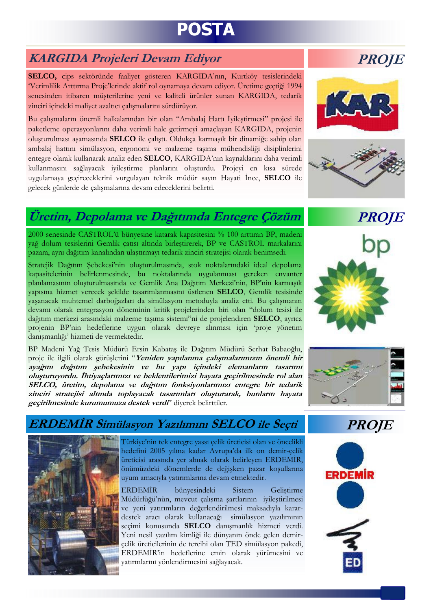# **POSTA**

## **KARGIDA Projeleri Devam Edivor**

SELCO, cips sektöründe faaliyet gösteren KARGIDA'nın, Kurtköy tesislerindeki Verimlilik Arttırma Proje'lerinde aktif rol oynamaya devam ediyor. Üretime geçtiği 1994 senesinden itibaren müsterilerine yeni ve kaliteli ürünler sunan KARGIDA, tedarik zinciri içindeki maliyet azaltıcı çalışmalarını sürdürüyor.

Bu çalışmaların önemli halkalarından bir olan "Ambalaj Hattı İyileştirmesi" projesi ile paketleme operasyonlarını daha verimli hale getirmeyi amaçlayan KARGIDA, projenin oluşturulması aşamasında SELCO ile çalıştı. Oldukça karmaşık bir dinamiğe sahip olan ambalaj hattini simülasyon, ergonomi ve malzeme taşıma mühendisliği disiplinlerini entegre olarak kullanarak analiz eden SELCO, KARGIDA'nın kaynaklarını daha verimli kullanmasını sağlayacak iyileştirme planlarını oluşturdu. Projeyi en kısa sürede uygulamaya geçireceklerini vurgulayan teknik müdür sayın Hayati İnce, SELCO ile gelecek günlerde de çalışmalarına devam edeceklerini belirtti.

# Üretim, Depolama ve Dağıtımda Entegre Çözüm

2000 senesinde CASTROL'ü bünyesine katarak kapasitesini % 100 arttıran BP, madeni vağ dolum tesislerini Gemlik catısı altında birlestirerek, BP ve CASTROL markalarını pazara, aynı dağıtım kanalından ulaştırmayı tedarik zinciri stratejisi olarak benimsedi.

Stratejik Dağıtım Şebekesi'nin oluşturulmasında, stok noktalarındaki ideal depolama kapasitelerinin belirlenmesinde, bu noktalarında uygulanması gereken envanter planlamasının olusturulmasında ve Gemlik Ana Dağıtım Merkezi'nin, BP'nin karmasık vapısına hizmet verecek şekilde tasarımlanmasını üstlenen SELCO, Gemlik tesisinde yaşanacak muhtemel darboğazları da simülasyon metoduyla analiz etti. Bu çalışmanın devamı olarak entegrasyon döneminin kritik projelerinden biri olan "dolum tesisi ile dağıtım merkezi arasındaki malzeme taşıma sistemi"ni de projelendiren SELCO, ayrıca projenin BP'nin hedeflerine uygun olarak devreye alınması için 'proje yönetim danışmanlığı' hizmeti de vermektedir.

BP Madeni Yağ Tesis Müdürü Ersin Kabataş ile Dağıtım Müdürü Serhat Babaoğlu, proje ile ilgili olarak görüşlerini "Yeniden yapılanma çalışmalarımızın önemli bir ayağını dağıtım şebekesinin ve bu yapı içindeki elemanların tasarımı oluşturuyordu. İhtiyaçlarımızı ve beklentilerimizi hayata geçirilmesinde rol alan SELCO, üretim, depolama ve dağıtım fonksiyonlarımızı entegre bir tedarik zinciri stratejisi altında toplayacak tasarımları oluşturarak, bunların hayata geçirilmesinde kurumumuza destek verdi' diverek belirttiler.

### ERDEMİR Simülasyon Yazılımını SELCO ile Seçti

Türkiye'nin tek entegre yassı çelik üreticisi olan ve öncelikli hedefini 2005 yılına kadar Avrupa'da ilk on demir-çelik üreticisi arasında yer almak olarak belirleyen ERDEMİR, önümüzdeki dönemlerde de değişken pazar koşullarına uyum amacıyla yatırımlarına devam etmektedir.

**ERDEMİR** bünyesindeki **Sistem** Gelistirme Müdürlüğü'nün, mevcut çalışma şartlarının iyileştirilmesi ve yeni yatırımların değerlendirilmesi maksadıyla karardestek aracı olarak kullanacağı simülasyon yazılımının seçimi konusunda SELCO danışmanlık hizmeti verdi. Yeni nesil yazılım kimliği ile dünyanın önde gelen demirçelik üreticilerinin de tercihi olan TED simülasyon pakedi, ERDEMİR'in hedeflerine emin olarak yürümesini ve yatırmlarını yönlendirmesini sağlayacak.









**ERDEMIR** 





# **PROJE**